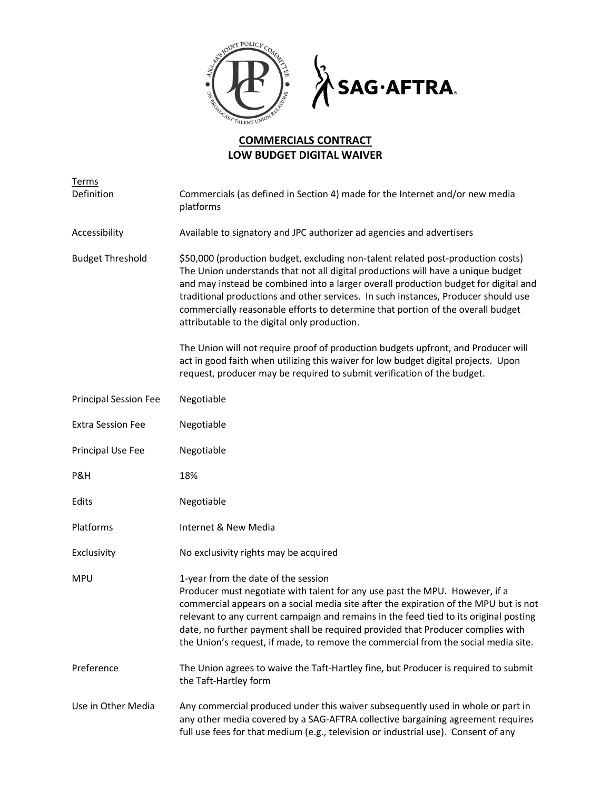

## **COMMERCIALS CONTRACT LOW BUDGET DIGITAL WAIVER**

| Terms<br>Definition          | Commercials (as defined in Section 4) made for the Internet and/or new media<br>platforms                                                                                                                                                                                                                                                                                                                                                                                            |
|------------------------------|--------------------------------------------------------------------------------------------------------------------------------------------------------------------------------------------------------------------------------------------------------------------------------------------------------------------------------------------------------------------------------------------------------------------------------------------------------------------------------------|
| Accessibility                | Available to signatory and JPC authorizer ad agencies and advertisers                                                                                                                                                                                                                                                                                                                                                                                                                |
| <b>Budget Threshold</b>      | \$50,000 (production budget, excluding non-talent related post-production costs)<br>The Union understands that not all digital productions will have a unique budget<br>and may instead be combined into a larger overall production budget for digital and<br>traditional productions and other services. In such instances, Producer should use<br>commercially reasonable efforts to determine that portion of the overall budget<br>attributable to the digital only production. |
|                              | The Union will not require proof of production budgets upfront, and Producer will<br>act in good faith when utilizing this waiver for low budget digital projects. Upon<br>request, producer may be required to submit verification of the budget.                                                                                                                                                                                                                                   |
| <b>Principal Session Fee</b> | Negotiable                                                                                                                                                                                                                                                                                                                                                                                                                                                                           |
| <b>Extra Session Fee</b>     | Negotiable                                                                                                                                                                                                                                                                                                                                                                                                                                                                           |
| Principal Use Fee            | Negotiable                                                                                                                                                                                                                                                                                                                                                                                                                                                                           |
| P&H                          | 18%                                                                                                                                                                                                                                                                                                                                                                                                                                                                                  |
| Edits                        | Negotiable                                                                                                                                                                                                                                                                                                                                                                                                                                                                           |
| Platforms                    | Internet & New Media                                                                                                                                                                                                                                                                                                                                                                                                                                                                 |
| Exclusivity                  | No exclusivity rights may be acquired                                                                                                                                                                                                                                                                                                                                                                                                                                                |
| <b>MPU</b>                   | 1-year from the date of the session<br>Producer must negotiate with talent for any use past the MPU. However, if a<br>commercial appears on a social media site after the expiration of the MPU but is not<br>relevant to any current campaign and remains in the feed tied to its original posting<br>date, no further payment shall be required provided that Producer complies with<br>the Union's request, if made, to remove the commercial from the social media site.         |
| Preference                   | The Union agrees to waive the Taft-Hartley fine, but Producer is required to submit<br>the Taft-Hartley form                                                                                                                                                                                                                                                                                                                                                                         |
| Use in Other Media           | Any commercial produced under this waiver subsequently used in whole or part in<br>any other media covered by a SAG-AFTRA collective bargaining agreement requires                                                                                                                                                                                                                                                                                                                   |